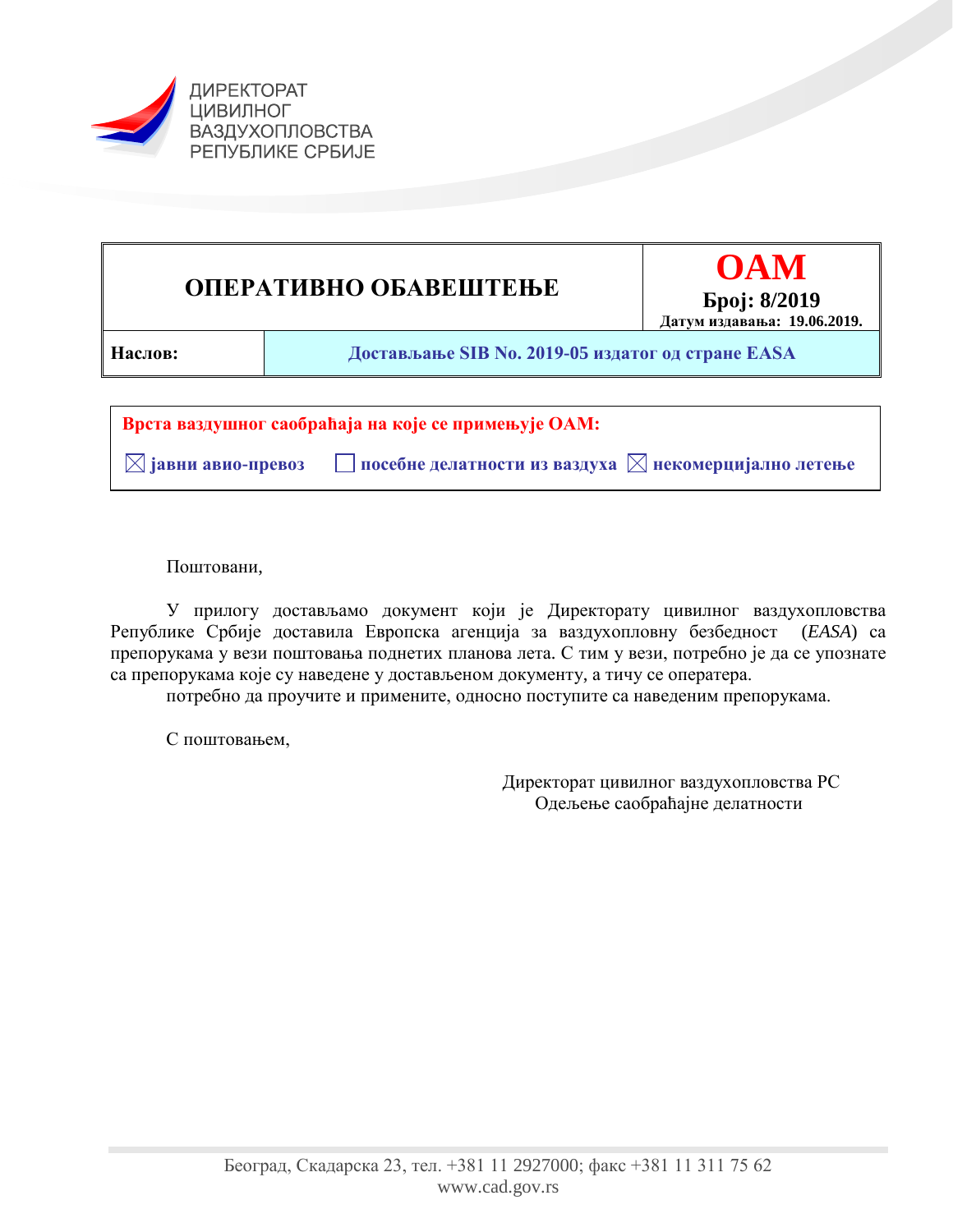





Поштовани,

У прилогу достављамо документ који је Директорату цивилног ваздухопловства Републике Србије доставила Европска агенција за ваздухопловну безбедност (*EASA*) са препорукама у вези поштовања поднетих планова лета. С тим у вези, потребно је да се упознате са препорукама које су наведене у достављеном документу, а тичу се оператера.

потребно да проучите и примените, односно поступите са наведеним препорукама.

С поштовањем,

Директорат цивилног ваздухопловства РС Одељење саобраћајне делатности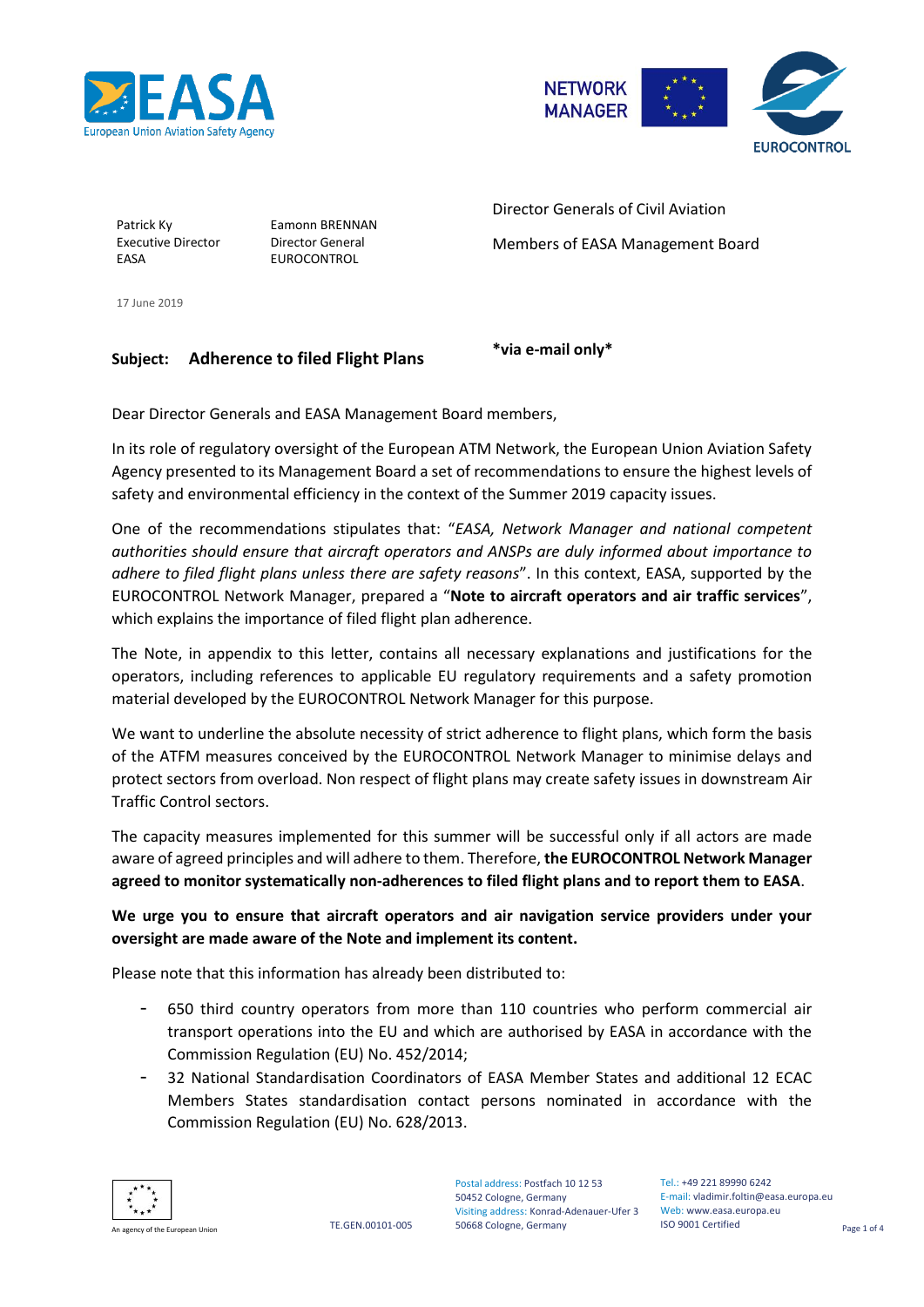



Patrick Ky **Eamonn BRENNAN** Executive Director Director General EASA EUROCONTROL

Director Generals of Civil Aviation Members of EASA Management Board

17 June 2019

#### **Subject: Adherence to filed Flight Plans**

**\*via e-mail only\***

Dear Director Generals and EASA Management Board members,

In its role of regulatory oversight of the European ATM Network, the European Union Aviation Safety Agency presented to its Management Board a set of recommendations to ensure the highest levels of safety and environmental efficiency in the context of the Summer 2019 capacity issues.

One of the recommendations stipulates that: "*EASA, Network Manager and national competent authorities should ensure that aircraft operators and ANSPs are duly informed about importance to adhere to filed flight plans unless there are safety reasons*". In this context, EASA, supported by the EUROCONTROL Network Manager, prepared a "**Note to aircraft operators and air traffic services**", which explains the importance of filed flight plan adherence.

The Note, in appendix to this letter, contains all necessary explanations and justifications for the operators, including references to applicable EU regulatory requirements and a safety promotion material developed by the EUROCONTROL Network Manager for this purpose.

We want to underline the absolute necessity of strict adherence to flight plans, which form the basis of the ATFM measures conceived by the EUROCONTROL Network Manager to minimise delays and protect sectors from overload. Non respect of flight plans may create safety issues in downstream Air Traffic Control sectors.

The capacity measures implemented for this summer will be successful only if all actors are made aware of agreed principles and will adhere to them. Therefore, **the EUROCONTROL Network Manager agreed to monitor systematically non-adherences to filed flight plans and to report them to EASA**.

#### **We urge you to ensure that aircraft operators and air navigation service providers under your oversight are made aware of the Note and implement its content.**

Please note that this information has already been distributed to:

- 650 third country operators from more than 110 countries who perform commercial air transport operations into the EU and which are authorised by EASA in accordance with the Commission Regulation (EU) No. 452/2014;
- 32 National Standardisation Coordinators of EASA Member States and additional 12 ECAC Members States standardisation contact persons nominated in accordance with the Commission Regulation (EU) No. 628/2013.



TE.GEN.00101-005 An agency of the European Union

Postal address: Postfach 10 12 53 50452 Cologne, Germany Visiting address: Konrad-Adenauer-Ufer 3 50668 Cologne, Germany

Tel.: +49 221 89990 6242 E-mail: vladimir.foltin@easa.europa.eu Web: www.easa.europa.eu ISO 9001 Certified Page 1 of 4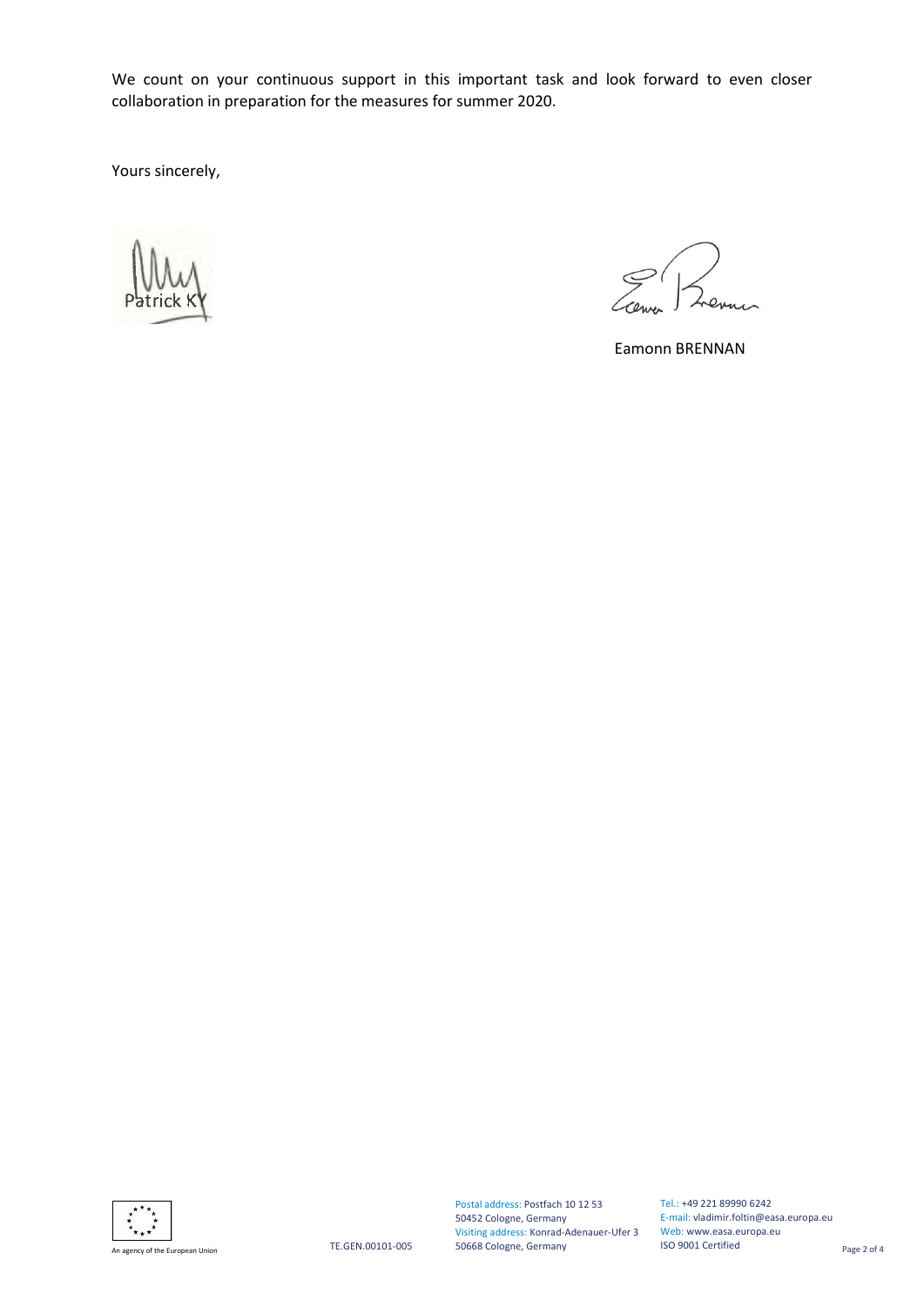We count on your continuous support in this important task and look forward to even closer collaboration in preparation for the measures for summer 2020.

Yours sincerely,



Eamonn BRENNAN



Postal address: Postfach 10 12 53 50452 Cologne, Germany Visiting address: Konrad-Adenauer-Ufer 3 Web: www.easa.europa.eu 50668 Cologne, Germany

Tel.: +49 221 89990 6242 E-mail: vladimir.foltin@easa.europa.eu ISO 9001 Certified Page 2 of 4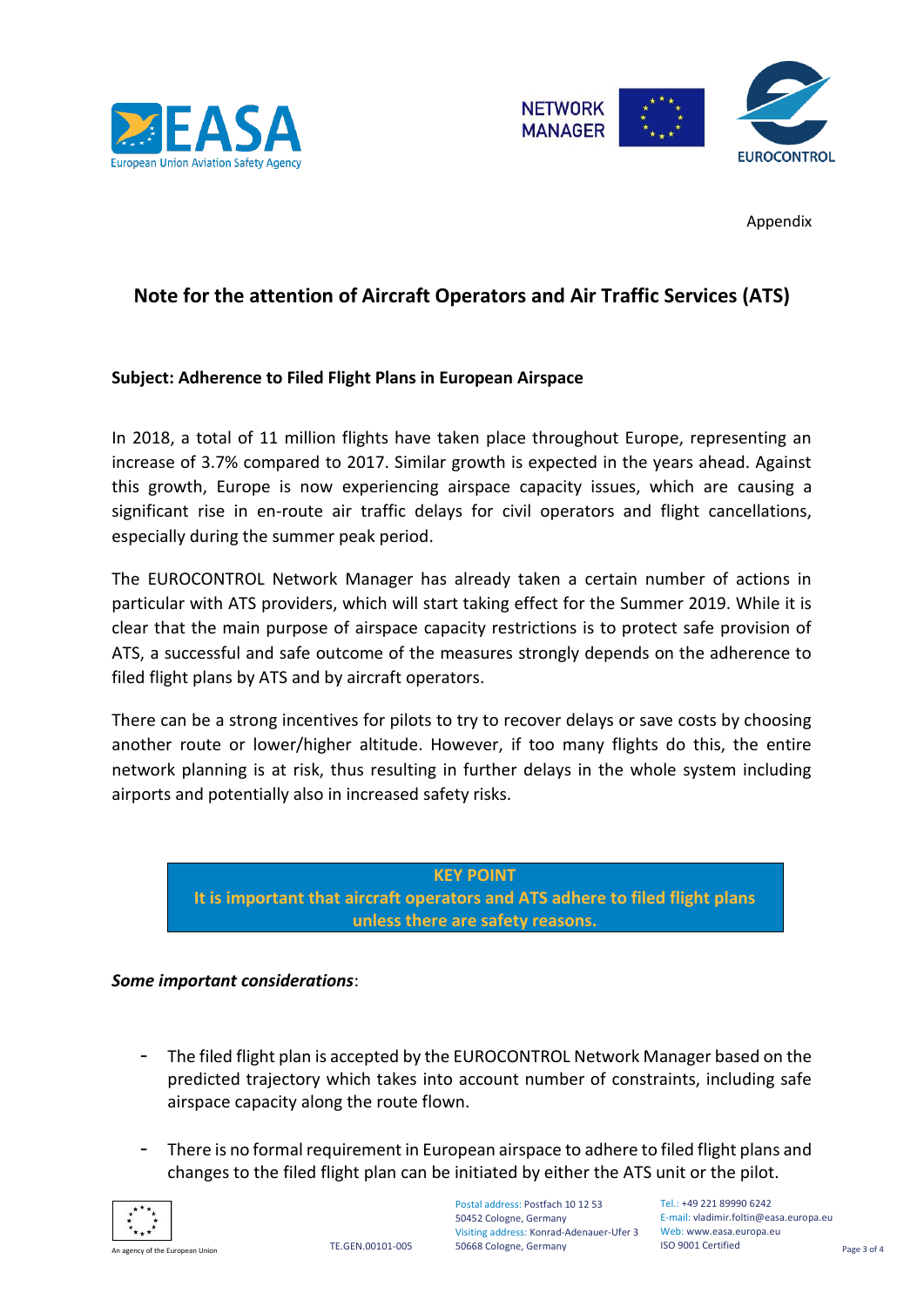



Appendix

# **Note for the attention of Aircraft Operators and Air Traffic Services (ATS)**

#### **Subject: Adherence to Filed Flight Plans in European Airspace**

In 2018, a total of 11 million flights have taken place throughout Europe, representing an increase of 3.7% compared to 2017. Similar growth is expected in the years ahead. Against this growth, Europe is now experiencing airspace capacity issues, which are causing a significant rise in en-route air traffic delays for civil operators and flight cancellations, especially during the summer peak period.

The EUROCONTROL Network Manager has already taken a certain number of actions in particular with ATS providers, which will start taking effect for the Summer 2019. While it is clear that the main purpose of airspace capacity restrictions is to protect safe provision of ATS, a successful and safe outcome of the measures strongly depends on the adherence to filed flight plans by ATS and by aircraft operators.

There can be a strong incentives for pilots to try to recover delays or save costs by choosing another route or lower/higher altitude. However, if too many flights do this, the entire network planning is at risk, thus resulting in further delays in the whole system including airports and potentially also in increased safety risks.

## **KEY POINT It is important that aircraft operators and ATS adhere to filed flight plans unless there are safety reasons.**

#### *Some important considerations*:

- The filed flight plan is accepted by the EUROCONTROL Network Manager based on the predicted trajectory which takes into account number of constraints, including safe airspace capacity along the route flown.
- There is no formal requirement in European airspace to adhere to filed flight plans and changes to the filed flight plan can be initiated by either the ATS unit or the pilot.



Postal address: Postfach 10 12 53 50452 Cologne, Germany Visiting address: Konrad-Adenauer-Ufer 3 50668 Cologne, Germany

Tel.: +49 221 89990 6242 E-mail: vladimir.foltin@easa.europa.eu Web: www.easa.europa.eu ISO 9001 Certified Page 3 of 4